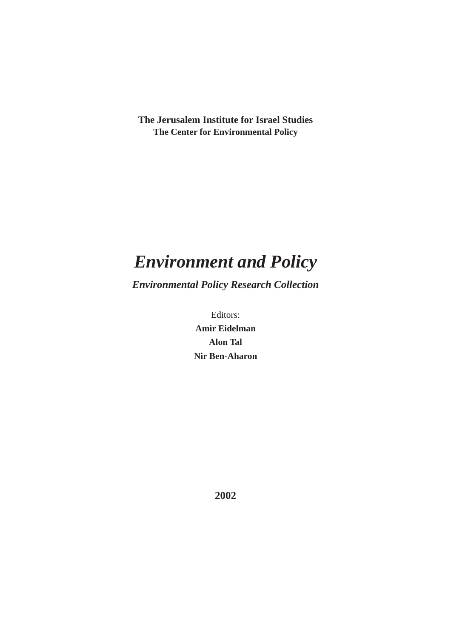**The Jerusalem Institute for Israel Studies The Center for Environmental Policy**

# *Environment and Policy*

*Environmental Policy Research Collection*

Editors: **Amir Eidelman Alon Tal Nir Ben-Aharon**

**2002**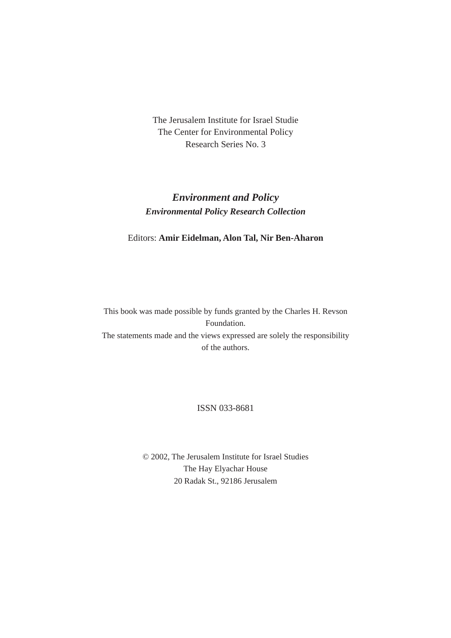The Jerusalem Institute for Israel Studie The Center for Environmental Policy Research Series No. 3

## *Environment and Policy Environmental Policy Research Collection*

#### Editors: **Amir Eidelman, Alon Tal, Nir Ben-Aharon**

This book was made possible by funds granted by the Charles H. Revson Foundation. The statements made and the views expressed are solely the responsibility of the authors.

#### ISSN 033-8681

© 2002, The Jerusalem Institute for Israel Studies The Hay Elyachar House 20 Radak St., 92186 Jerusalem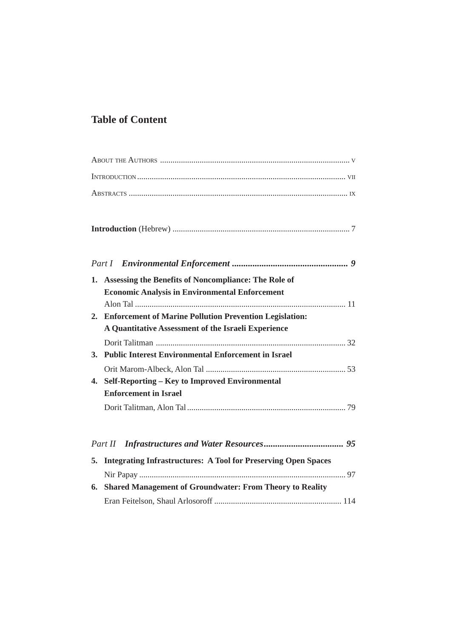## **Table of Content**

| 1. | Assessing the Benefits of Noncompliance: The Role of<br><b>Economic Analysis in Environmental Enforcement</b>     |  |
|----|-------------------------------------------------------------------------------------------------------------------|--|
|    | 2. Enforcement of Marine Pollution Prevention Legislation:<br>A Quantitative Assessment of the Israeli Experience |  |
| 3. | <b>Public Interest Environmental Enforcement in Israel</b>                                                        |  |
|    | 4. Self-Reporting - Key to Improved Environmental<br><b>Enforcement in Israel</b>                                 |  |
|    |                                                                                                                   |  |
|    |                                                                                                                   |  |
|    | 5. Integrating Infrastructures: A Tool for Preserving Open Spaces                                                 |  |
|    | 6. Shared Management of Groundwater: From Theory to Reality                                                       |  |
|    |                                                                                                                   |  |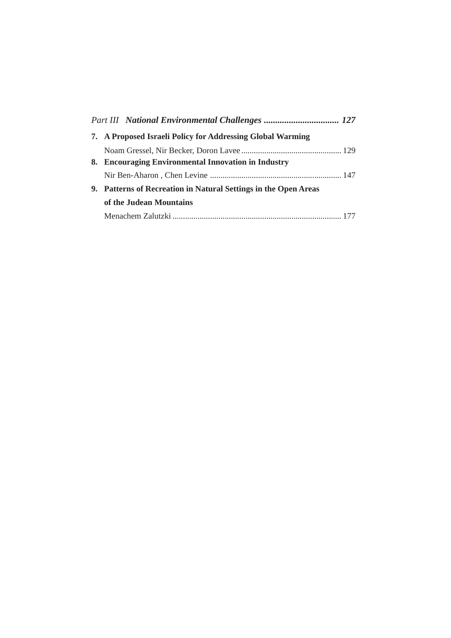| 7. A Proposed Israeli Policy for Addressing Global Warming      |  |
|-----------------------------------------------------------------|--|
|                                                                 |  |
| 8. Encouraging Environmental Innovation in Industry             |  |
|                                                                 |  |
| 9. Patterns of Recreation in Natural Settings in the Open Areas |  |
| of the Judean Mountains                                         |  |
|                                                                 |  |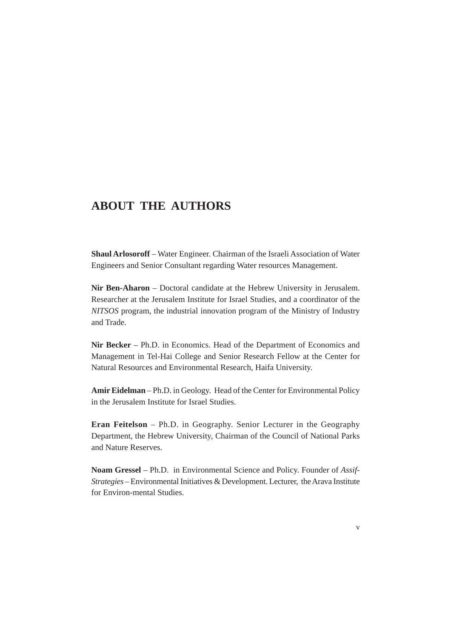#### **ABOUT THE AUTHORS**

**Shaul Arlosoroff** – Water Engineer. Chairman of the Israeli Association of Water Engineers and Senior Consultant regarding Water resources Management.

**Nir Ben-Aharon** – Doctoral candidate at the Hebrew University in Jerusalem. Researcher at the Jerusalem Institute for Israel Studies, and a coordinator of the *NITSOS* program, the industrial innovation program of the Ministry of Industry and Trade.

**Nir Becker** – Ph.D. in Economics. Head of the Department of Economics and Management in Tel-Hai College and Senior Research Fellow at the Center for Natural Resources and Environmental Research, Haifa University.

**Amir Eidelman** – Ph.D. in Geology. Head of the Center for Environmental Policy in the Jerusalem Institute for Israel Studies.

**Eran Feitelson** – Ph.D. in Geography. Senior Lecturer in the Geography Department, the Hebrew University, Chairman of the Council of National Parks and Nature Reserves.

**Noam Gressel** – Ph.D. in Environmental Science and Policy. Founder of *Assif-Strategies* – Environmental Initiatives & Development. Lecturer, the Arava Institute for Environ-mental Studies.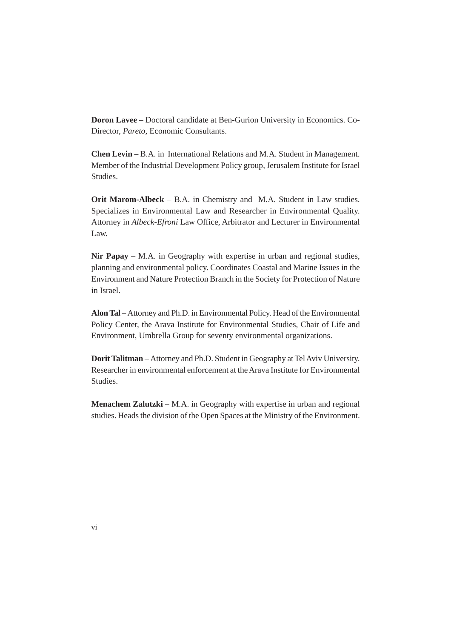**Doron Lavee** – Doctoral candidate at Ben-Gurion University in Economics. Co-Director, *Pareto*, Economic Consultants.

**Chen Levin** – B.A. in International Relations and M.A. Student in Management. Member of the Industrial Development Policy group, Jerusalem Institute for Israel Studies.

**Orit Marom-Albeck** – B.A. in Chemistry and M.A. Student in Law studies. Specializes in Environmental Law and Researcher in Environmental Quality. Attorney in *Albeck-Efroni* Law Office, Arbitrator and Lecturer in Environmental Law.

**Nir Papay** – M.A. in Geography with expertise in urban and regional studies, planning and environmental policy. Coordinates Coastal and Marine Issues in the Environment and Nature Protection Branch in the Society for Protection of Nature in Israel.

**Alon Tal** – Attorney and Ph.D. in Environmental Policy. Head of the Environmental Policy Center, the Arava Institute for Environmental Studies, Chair of Life and Environment, Umbrella Group for seventy environmental organizations.

**Dorit Talitman** – Attorney and Ph.D. Student in Geography at Tel Aviv University. Researcher in environmental enforcement at the Arava Institute for Environmental **Studies** 

**Menachem Zalutzki** – M.A. in Geography with expertise in urban and regional studies. Heads the division of the Open Spaces at the Ministry of the Environment.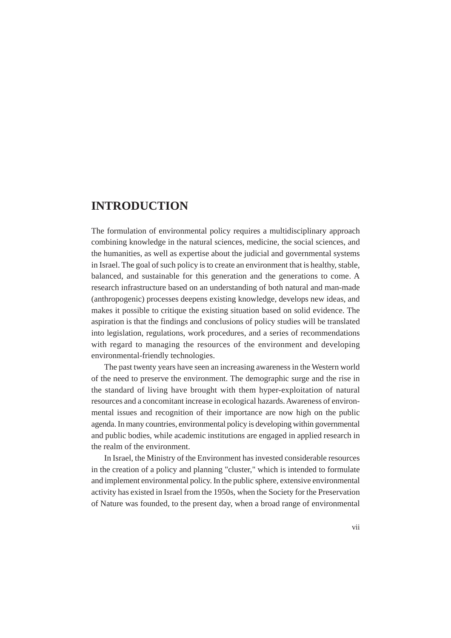#### **INTRODUCTION**

The formulation of environmental policy requires a multidisciplinary approach combining knowledge in the natural sciences, medicine, the social sciences, and the humanities, as well as expertise about the judicial and governmental systems in Israel. The goal of such policy is to create an environment that is healthy, stable, balanced, and sustainable for this generation and the generations to come. A research infrastructure based on an understanding of both natural and man-made (anthropogenic) processes deepens existing knowledge, develops new ideas, and makes it possible to critique the existing situation based on solid evidence. The aspiration is that the findings and conclusions of policy studies will be translated into legislation, regulations, work procedures, and a series of recommendations with regard to managing the resources of the environment and developing environmental-friendly technologies.

The past twenty years have seen an increasing awareness in the Western world of the need to preserve the environment. The demographic surge and the rise in the standard of living have brought with them hyper-exploitation of natural resources and a concomitant increase in ecological hazards. Awareness of environmental issues and recognition of their importance are now high on the public agenda. In many countries, environmental policy is developing within governmental and public bodies, while academic institutions are engaged in applied research in the realm of the environment.

In Israel, the Ministry of the Environment has invested considerable resources in the creation of a policy and planning "cluster," which is intended to formulate and implement environmental policy. In the public sphere, extensive environmental activity has existed in Israel from the 1950s, when the Society for the Preservation of Nature was founded, to the present day, when a broad range of environmental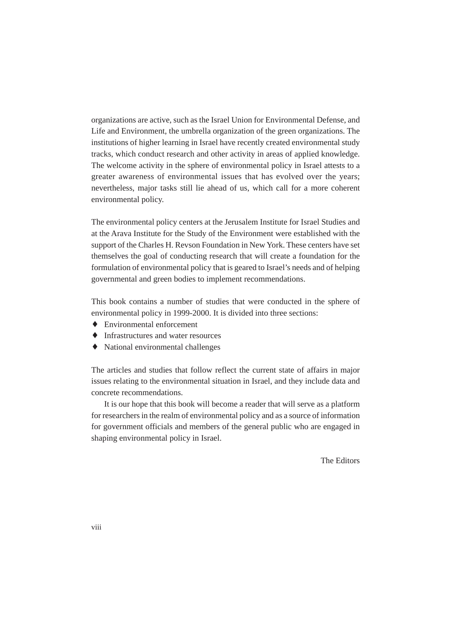organizations are active, such as the Israel Union for Environmental Defense, and Life and Environment, the umbrella organization of the green organizations. The institutions of higher learning in Israel have recently created environmental study tracks, which conduct research and other activity in areas of applied knowledge. The welcome activity in the sphere of environmental policy in Israel attests to a greater awareness of environmental issues that has evolved over the years; nevertheless, major tasks still lie ahead of us, which call for a more coherent environmental policy.

The environmental policy centers at the Jerusalem Institute for Israel Studies and at the Arava Institute for the Study of the Environment were established with the support of the Charles H. Revson Foundation in New York. These centers have set themselves the goal of conducting research that will create a foundation for the formulation of environmental policy that is geared to Israel's needs and of helping governmental and green bodies to implement recommendations.

This book contains a number of studies that were conducted in the sphere of environmental policy in 1999-2000. It is divided into three sections:

- ♦ Environmental enforcement
- ♦ Infrastructures and water resources
- ♦ National environmental challenges

The articles and studies that follow reflect the current state of affairs in major issues relating to the environmental situation in Israel, and they include data and concrete recommendations.

It is our hope that this book will become a reader that will serve as a platform for researchers in the realm of environmental policy and as a source of information for government officials and members of the general public who are engaged in shaping environmental policy in Israel.

The Editors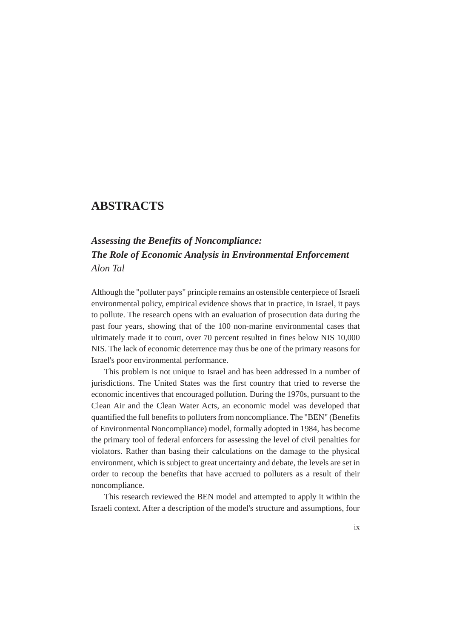#### **ABSTRACTS**

## *Assessing the Benefits of Noncompliance: The Role of Economic Analysis in Environmental Enforcement Alon Tal*

Although the "polluter pays" principle remains an ostensible centerpiece of Israeli environmental policy, empirical evidence shows that in practice, in Israel, it pays to pollute. The research opens with an evaluation of prosecution data during the past four years, showing that of the 100 non-marine environmental cases that ultimately made it to court, over 70 percent resulted in fines below NIS 10,000 NIS. The lack of economic deterrence may thus be one of the primary reasons for Israel's poor environmental performance.

This problem is not unique to Israel and has been addressed in a number of jurisdictions. The United States was the first country that tried to reverse the economic incentives that encouraged pollution. During the 1970s, pursuant to the Clean Air and the Clean Water Acts, an economic model was developed that quantified the full benefits to polluters from noncompliance. The "BEN" (Benefits of Environmental Noncompliance) model, formally adopted in 1984, has become the primary tool of federal enforcers for assessing the level of civil penalties for violators. Rather than basing their calculations on the damage to the physical environment, which is subject to great uncertainty and debate, the levels are set in order to recoup the benefits that have accrued to polluters as a result of their noncompliance.

This research reviewed the BEN model and attempted to apply it within the Israeli context. After a description of the model's structure and assumptions, four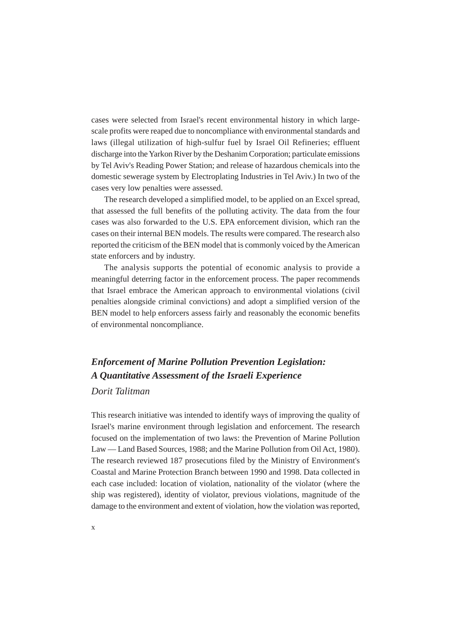cases were selected from Israel's recent environmental history in which largescale profits were reaped due to noncompliance with environmental standards and laws (illegal utilization of high-sulfur fuel by Israel Oil Refineries; effluent discharge into the Yarkon River by the Deshanim Corporation; particulate emissions by Tel Aviv's Reading Power Station; and release of hazardous chemicals into the domestic sewerage system by Electroplating Industries in Tel Aviv.) In two of the cases very low penalties were assessed.

The research developed a simplified model, to be applied on an Excel spread, that assessed the full benefits of the polluting activity. The data from the four cases was also forwarded to the U.S. EPA enforcement division, which ran the cases on their internal BEN models. The results were compared. The research also reported the criticism of the BEN model that is commonly voiced by the American state enforcers and by industry.

The analysis supports the potential of economic analysis to provide a meaningful deterring factor in the enforcement process. The paper recommends that Israel embrace the American approach to environmental violations (civil penalties alongside criminal convictions) and adopt a simplified version of the BEN model to help enforcers assess fairly and reasonably the economic benefits of environmental noncompliance.

## *Enforcement of Marine Pollution Prevention Legislation: A Quantitative Assessment of the Israeli Experience Dorit Talitman*

This research initiative was intended to identify ways of improving the quality of Israel's marine environment through legislation and enforcement. The research focused on the implementation of two laws: the Prevention of Marine Pollution Law — Land Based Sources, 1988; and the Marine Pollution from Oil Act, 1980). The research reviewed 187 prosecutions filed by the Ministry of Environment's Coastal and Marine Protection Branch between 1990 and 1998. Data collected in each case included: location of violation, nationality of the violator (where the ship was registered), identity of violator, previous violations, magnitude of the damage to the environment and extent of violation, how the violation was reported,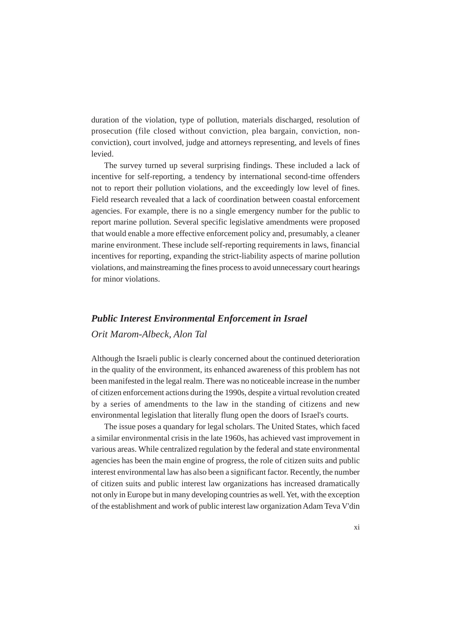duration of the violation, type of pollution, materials discharged, resolution of prosecution (file closed without conviction, plea bargain, conviction, nonconviction), court involved, judge and attorneys representing, and levels of fines levied.

The survey turned up several surprising findings. These included a lack of incentive for self-reporting, a tendency by international second-time offenders not to report their pollution violations, and the exceedingly low level of fines. Field research revealed that a lack of coordination between coastal enforcement agencies. For example, there is no a single emergency number for the public to report marine pollution. Several specific legislative amendments were proposed that would enable a more effective enforcement policy and, presumably, a cleaner marine environment. These include self-reporting requirements in laws, financial incentives for reporting, expanding the strict-liability aspects of marine pollution violations, and mainstreaming the fines process to avoid unnecessary court hearings for minor violations.

## *Public Interest Environmental Enforcement in Israel Orit Marom-Albeck, Alon Tal*

Although the Israeli public is clearly concerned about the continued deterioration in the quality of the environment, its enhanced awareness of this problem has not been manifested in the legal realm. There was no noticeable increase in the number of citizen enforcement actions during the 1990s, despite a virtual revolution created by a series of amendments to the law in the standing of citizens and new environmental legislation that literally flung open the doors of Israel's courts.

The issue poses a quandary for legal scholars. The United States, which faced a similar environmental crisis in the late 1960s, has achieved vast improvement in various areas. While centralized regulation by the federal and state environmental agencies has been the main engine of progress, the role of citizen suits and public interest environmental law has also been a significant factor. Recently, the number of citizen suits and public interest law organizations has increased dramatically not only in Europe but in many developing countries as well. Yet, with the exception of the establishment and work of public interest law organization Adam Teva V'din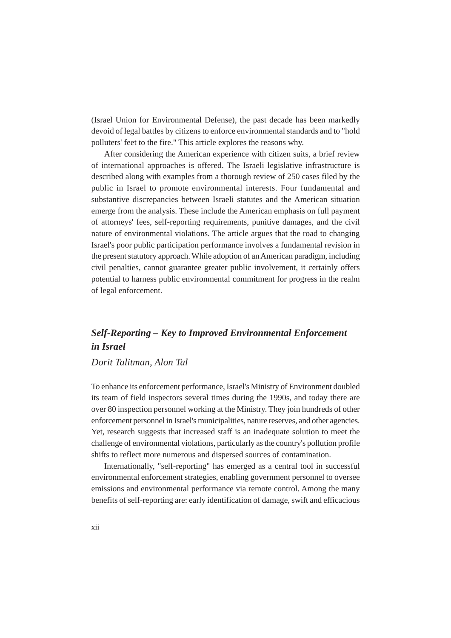(Israel Union for Environmental Defense), the past decade has been markedly devoid of legal battles by citizens to enforce environmental standards and to "hold polluters' feet to the fire." This article explores the reasons why.

After considering the American experience with citizen suits, a brief review of international approaches is offered. The Israeli legislative infrastructure is described along with examples from a thorough review of 250 cases filed by the public in Israel to promote environmental interests. Four fundamental and substantive discrepancies between Israeli statutes and the American situation emerge from the analysis. These include the American emphasis on full payment of attorneys' fees, self-reporting requirements, punitive damages, and the civil nature of environmental violations. The article argues that the road to changing Israel's poor public participation performance involves a fundamental revision in the present statutory approach. While adoption of an American paradigm, including civil penalties, cannot guarantee greater public involvement, it certainly offers potential to harness public environmental commitment for progress in the realm of legal enforcement.

### *Self-Reporting – Key to Improved Environmental Enforcement in Israel*

#### *Dorit Talitman, Alon Tal*

To enhance its enforcement performance, Israel's Ministry of Environment doubled its team of field inspectors several times during the 1990s, and today there are over 80 inspection personnel working at the Ministry. They join hundreds of other enforcement personnel in Israel's municipalities, nature reserves, and other agencies. Yet, research suggests that increased staff is an inadequate solution to meet the challenge of environmental violations, particularly as the country's pollution profile shifts to reflect more numerous and dispersed sources of contamination.

Internationally, "self-reporting" has emerged as a central tool in successful environmental enforcement strategies, enabling government personnel to oversee emissions and environmental performance via remote control. Among the many benefits of self-reporting are: early identification of damage, swift and efficacious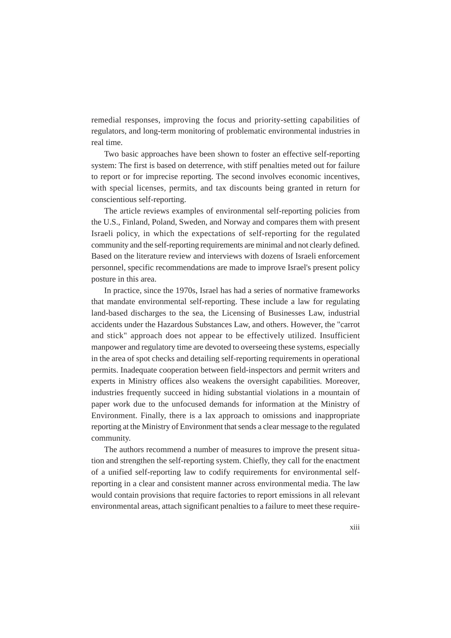remedial responses, improving the focus and priority-setting capabilities of regulators, and long-term monitoring of problematic environmental industries in real time.

Two basic approaches have been shown to foster an effective self-reporting system: The first is based on deterrence, with stiff penalties meted out for failure to report or for imprecise reporting. The second involves economic incentives, with special licenses, permits, and tax discounts being granted in return for conscientious self-reporting.

The article reviews examples of environmental self-reporting policies from the U.S., Finland, Poland, Sweden, and Norway and compares them with present Israeli policy, in which the expectations of self-reporting for the regulated community and the self-reporting requirements are minimal and not clearly defined. Based on the literature review and interviews with dozens of Israeli enforcement personnel, specific recommendations are made to improve Israel's present policy posture in this area.

In practice, since the 1970s, Israel has had a series of normative frameworks that mandate environmental self-reporting. These include a law for regulating land-based discharges to the sea, the Licensing of Businesses Law, industrial accidents under the Hazardous Substances Law, and others. However, the "carrot and stick" approach does not appear to be effectively utilized. Insufficient manpower and regulatory time are devoted to overseeing these systems, especially in the area of spot checks and detailing self-reporting requirements in operational permits. Inadequate cooperation between field-inspectors and permit writers and experts in Ministry offices also weakens the oversight capabilities. Moreover, industries frequently succeed in hiding substantial violations in a mountain of paper work due to the unfocused demands for information at the Ministry of Environment. Finally, there is a lax approach to omissions and inappropriate reporting at the Ministry of Environment that sends a clear message to the regulated community.

The authors recommend a number of measures to improve the present situation and strengthen the self-reporting system. Chiefly, they call for the enactment of a unified self-reporting law to codify requirements for environmental selfreporting in a clear and consistent manner across environmental media. The law would contain provisions that require factories to report emissions in all relevant environmental areas, attach significant penalties to a failure to meet these require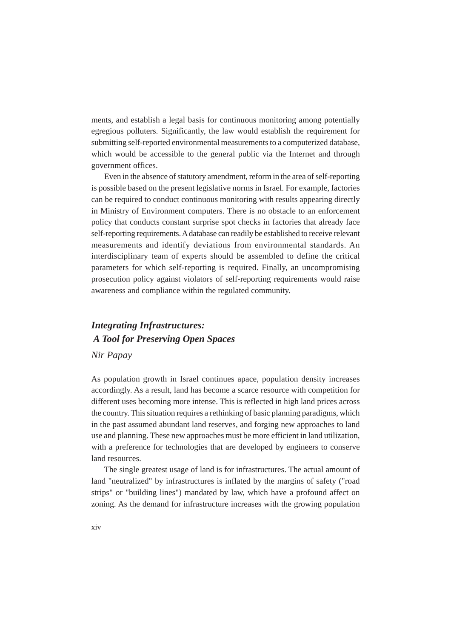ments, and establish a legal basis for continuous monitoring among potentially egregious polluters. Significantly, the law would establish the requirement for submitting self-reported environmental measurements to a computerized database, which would be accessible to the general public via the Internet and through government offices.

Even in the absence of statutory amendment, reform in the area of self-reporting is possible based on the present legislative norms in Israel. For example, factories can be required to conduct continuous monitoring with results appearing directly in Ministry of Environment computers. There is no obstacle to an enforcement policy that conducts constant surprise spot checks in factories that already face self-reporting requirements. A database can readily be established to receive relevant measurements and identify deviations from environmental standards. An interdisciplinary team of experts should be assembled to define the critical parameters for which self-reporting is required. Finally, an uncompromising prosecution policy against violators of self-reporting requirements would raise awareness and compliance within the regulated community.

## *Integrating Infrastructures: A Tool for Preserving Open Spaces Nir Papay*

As population growth in Israel continues apace, population density increases accordingly. As a result, land has become a scarce resource with competition for different uses becoming more intense. This is reflected in high land prices across the country. This situation requires a rethinking of basic planning paradigms, which in the past assumed abundant land reserves, and forging new approaches to land use and planning. These new approaches must be more efficient in land utilization, with a preference for technologies that are developed by engineers to conserve land resources.

The single greatest usage of land is for infrastructures. The actual amount of land "neutralized" by infrastructures is inflated by the margins of safety ("road strips" or "building lines") mandated by law, which have a profound affect on zoning. As the demand for infrastructure increases with the growing population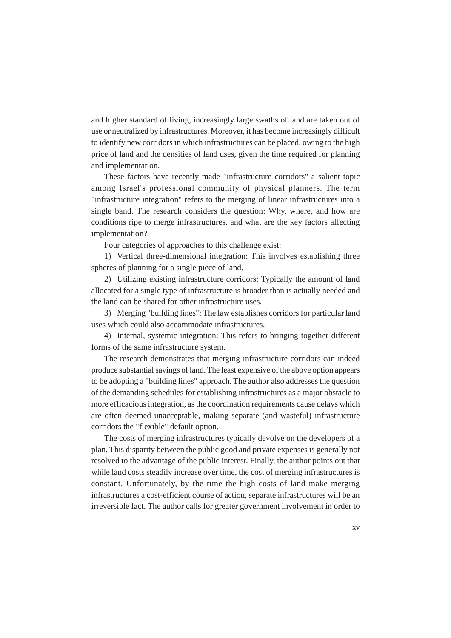and higher standard of living, increasingly large swaths of land are taken out of use or neutralized by infrastructures. Moreover, it has become increasingly difficult to identify new corridors in which infrastructures can be placed, owing to the high price of land and the densities of land uses, given the time required for planning and implementation.

These factors have recently made "infrastructure corridors" a salient topic among Israel's professional community of physical planners. The term "infrastructure integration" refers to the merging of linear infrastructures into a single band. The research considers the question: Why, where, and how are conditions ripe to merge infrastructures, and what are the key factors affecting implementation?

Four categories of approaches to this challenge exist:

1) Vertical three-dimensional integration: This involves establishing three spheres of planning for a single piece of land.

2) Utilizing existing infrastructure corridors: Typically the amount of land allocated for a single type of infrastructure is broader than is actually needed and the land can be shared for other infrastructure uses.

3) Merging "building lines": The law establishes corridors for particular land uses which could also accommodate infrastructures.

4) Internal, systemic integration: This refers to bringing together different forms of the same infrastructure system.

The research demonstrates that merging infrastructure corridors can indeed produce substantial savings of land. The least expensive of the above option appears to be adopting a "building lines" approach. The author also addresses the question of the demanding schedules for establishing infrastructures as a major obstacle to more efficacious integration, as the coordination requirements cause delays which are often deemed unacceptable, making separate (and wasteful) infrastructure corridors the "flexible" default option.

The costs of merging infrastructures typically devolve on the developers of a plan. This disparity between the public good and private expenses is generally not resolved to the advantage of the public interest. Finally, the author points out that while land costs steadily increase over time, the cost of merging infrastructures is constant. Unfortunately, by the time the high costs of land make merging infrastructures a cost-efficient course of action, separate infrastructures will be an irreversible fact. The author calls for greater government involvement in order to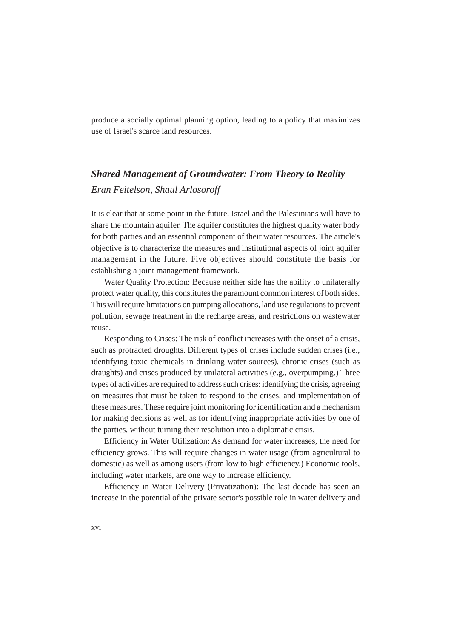produce a socially optimal planning option, leading to a policy that maximizes use of Israel's scarce land resources.

# *Shared Management of Groundwater: From Theory to Reality Eran Feitelson, Shaul Arlosoroff*

It is clear that at some point in the future, Israel and the Palestinians will have to share the mountain aquifer. The aquifer constitutes the highest quality water body for both parties and an essential component of their water resources. The article's objective is to characterize the measures and institutional aspects of joint aquifer management in the future. Five objectives should constitute the basis for establishing a joint management framework.

Water Quality Protection: Because neither side has the ability to unilaterally protect water quality, this constitutes the paramount common interest of both sides. This will require limitations on pumping allocations, land use regulations to prevent pollution, sewage treatment in the recharge areas, and restrictions on wastewater reuse.

Responding to Crises: The risk of conflict increases with the onset of a crisis, such as protracted droughts. Different types of crises include sudden crises (i.e., identifying toxic chemicals in drinking water sources), chronic crises (such as draughts) and crises produced by unilateral activities (e.g., overpumping.) Three types of activities are required to address such crises: identifying the crisis, agreeing on measures that must be taken to respond to the crises, and implementation of these measures. These require joint monitoring for identification and a mechanism for making decisions as well as for identifying inappropriate activities by one of the parties, without turning their resolution into a diplomatic crisis.

Efficiency in Water Utilization: As demand for water increases, the need for efficiency grows. This will require changes in water usage (from agricultural to domestic) as well as among users (from low to high efficiency.) Economic tools, including water markets, are one way to increase efficiency.

Efficiency in Water Delivery (Privatization): The last decade has seen an increase in the potential of the private sector's possible role in water delivery and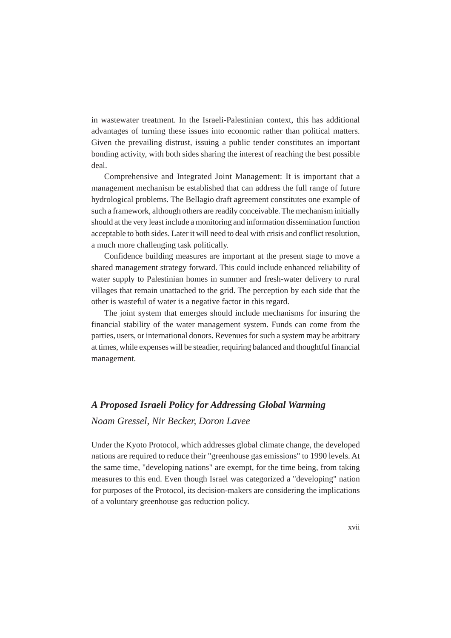in wastewater treatment. In the Israeli-Palestinian context, this has additional advantages of turning these issues into economic rather than political matters. Given the prevailing distrust, issuing a public tender constitutes an important bonding activity, with both sides sharing the interest of reaching the best possible deal.

Comprehensive and Integrated Joint Management: It is important that a management mechanism be established that can address the full range of future hydrological problems. The Bellagio draft agreement constitutes one example of such a framework, although others are readily conceivable. The mechanism initially should at the very least include a monitoring and information dissemination function acceptable to both sides. Later it will need to deal with crisis and conflict resolution, a much more challenging task politically.

Confidence building measures are important at the present stage to move a shared management strategy forward. This could include enhanced reliability of water supply to Palestinian homes in summer and fresh-water delivery to rural villages that remain unattached to the grid. The perception by each side that the other is wasteful of water is a negative factor in this regard.

The joint system that emerges should include mechanisms for insuring the financial stability of the water management system. Funds can come from the parties, users, or international donors. Revenues for such a system may be arbitrary at times, while expenses will be steadier, requiring balanced and thoughtful financial management.

#### *A Proposed Israeli Policy for Addressing Global Warming*

*Noam Gressel, Nir Becker, Doron Lavee*

Under the Kyoto Protocol, which addresses global climate change, the developed nations are required to reduce their "greenhouse gas emissions" to 1990 levels. At the same time, "developing nations" are exempt, for the time being, from taking measures to this end. Even though Israel was categorized a "developing" nation for purposes of the Protocol, its decision-makers are considering the implications of a voluntary greenhouse gas reduction policy.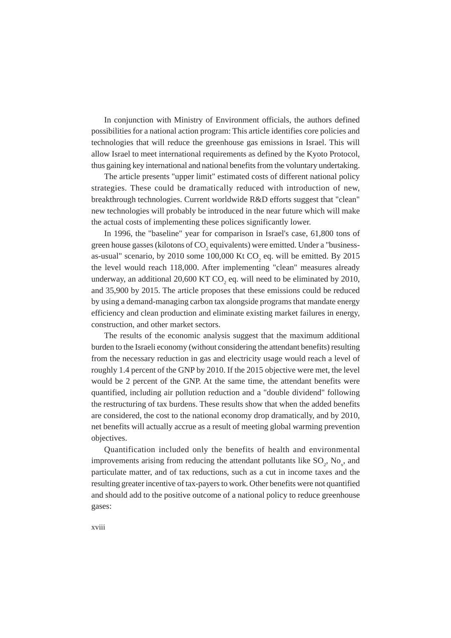In conjunction with Ministry of Environment officials, the authors defined possibilities for a national action program: This article identifies core policies and technologies that will reduce the greenhouse gas emissions in Israel. This will allow Israel to meet international requirements as defined by the Kyoto Protocol, thus gaining key international and national benefits from the voluntary undertaking.

The article presents "upper limit" estimated costs of different national policy strategies. These could be dramatically reduced with introduction of new, breakthrough technologies. Current worldwide R&D efforts suggest that "clean" new technologies will probably be introduced in the near future which will make the actual costs of implementing these polices significantly lower.

In 1996, the "baseline" year for comparison in Israel's case, 61,800 tons of green house gasses (kilotons of  $\mathrm{CO}_2$  equivalents) were emitted. Under a "businessas-usual" scenario, by 2010 some  $100,000$  Kt  $CO_2$  eq. will be emitted. By 2015 the level would reach 118,000. After implementing "clean" measures already underway, an additional 20,600 KT  $CO_2$  eq. will need to be eliminated by 2010, and 35,900 by 2015. The article proposes that these emissions could be reduced by using a demand-managing carbon tax alongside programs that mandate energy efficiency and clean production and eliminate existing market failures in energy, construction, and other market sectors.

The results of the economic analysis suggest that the maximum additional burden to the Israeli economy (without considering the attendant benefits) resulting from the necessary reduction in gas and electricity usage would reach a level of roughly 1.4 percent of the GNP by 2010. If the 2015 objective were met, the level would be 2 percent of the GNP. At the same time, the attendant benefits were quantified, including air pollution reduction and a "double dividend" following the restructuring of tax burdens. These results show that when the added benefits are considered, the cost to the national economy drop dramatically, and by 2010, net benefits will actually accrue as a result of meeting global warming prevention objectives.

Quantification included only the benefits of health and environmental improvements arising from reducing the attendant pollutants like  $SO_2$ ,  $No_x$ , and particulate matter, and of tax reductions, such as a cut in income taxes and the resulting greater incentive of tax-payers to work. Other benefits were not quantified and should add to the positive outcome of a national policy to reduce greenhouse gases: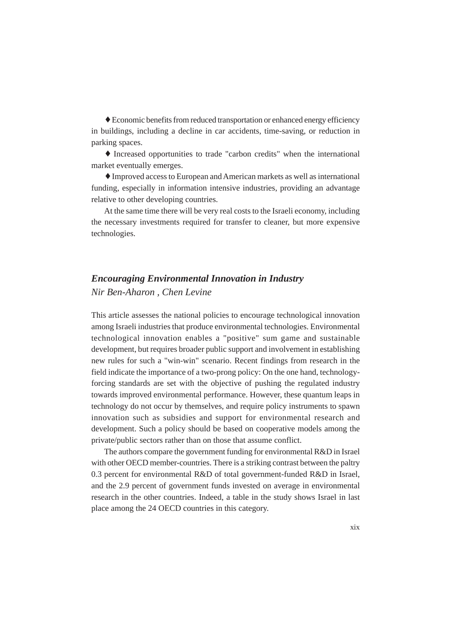♦ Economic benefits from reduced transportation or enhanced energy efficiency in buildings, including a decline in car accidents, time-saving, or reduction in parking spaces.

♦ Increased opportunities to trade "carbon credits" when the international market eventually emerges.

♦ Improved access to European and American markets as well as international funding, especially in information intensive industries, providing an advantage relative to other developing countries.

At the same time there will be very real costs to the Israeli economy, including the necessary investments required for transfer to cleaner, but more expensive technologies.

#### *Encouraging Environmental Innovation in Industry Nir Ben-Aharon , Chen Levine*

This article assesses the national policies to encourage technological innovation among Israeli industries that produce environmental technologies. Environmental technological innovation enables a "positive" sum game and sustainable development, but requires broader public support and involvement in establishing new rules for such a "win-win" scenario. Recent findings from research in the field indicate the importance of a two-prong policy: On the one hand, technologyforcing standards are set with the objective of pushing the regulated industry towards improved environmental performance. However, these quantum leaps in technology do not occur by themselves, and require policy instruments to spawn innovation such as subsidies and support for environmental research and development. Such a policy should be based on cooperative models among the private/public sectors rather than on those that assume conflict.

The authors compare the government funding for environmental R&D in Israel with other OECD member-countries. There is a striking contrast between the paltry 0.3 percent for environmental R&D of total government-funded R&D in Israel, and the 2.9 percent of government funds invested on average in environmental research in the other countries. Indeed, a table in the study shows Israel in last place among the 24 OECD countries in this category.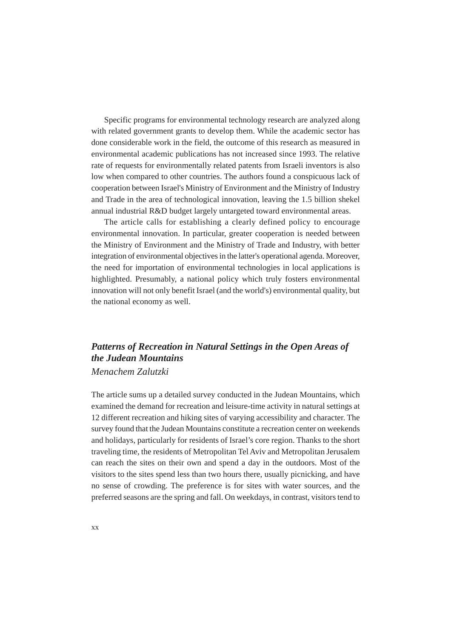Specific programs for environmental technology research are analyzed along with related government grants to develop them. While the academic sector has done considerable work in the field, the outcome of this research as measured in environmental academic publications has not increased since 1993. The relative rate of requests for environmentally related patents from Israeli inventors is also low when compared to other countries. The authors found a conspicuous lack of cooperation between Israel's Ministry of Environment and the Ministry of Industry and Trade in the area of technological innovation, leaving the 1.5 billion shekel annual industrial R&D budget largely untargeted toward environmental areas.

The article calls for establishing a clearly defined policy to encourage environmental innovation. In particular, greater cooperation is needed between the Ministry of Environment and the Ministry of Trade and Industry, with better integration of environmental objectives in the latter's operational agenda. Moreover, the need for importation of environmental technologies in local applications is highlighted. Presumably, a national policy which truly fosters environmental innovation will not only benefit Israel (and the world's) environmental quality, but the national economy as well.

# *Patterns of Recreation in Natural Settings in the Open Areas of the Judean Mountains*

#### *Menachem Zalutzki*

The article sums up a detailed survey conducted in the Judean Mountains, which examined the demand for recreation and leisure-time activity in natural settings at 12 different recreation and hiking sites of varying accessibility and character. The survey found that the Judean Mountains constitute a recreation center on weekends and holidays, particularly for residents of Israel's core region. Thanks to the short traveling time, the residents of Metropolitan Tel Aviv and Metropolitan Jerusalem can reach the sites on their own and spend a day in the outdoors. Most of the visitors to the sites spend less than two hours there, usually picnicking, and have no sense of crowding. The preference is for sites with water sources, and the preferred seasons are the spring and fall. On weekdays, in contrast, visitors tend to